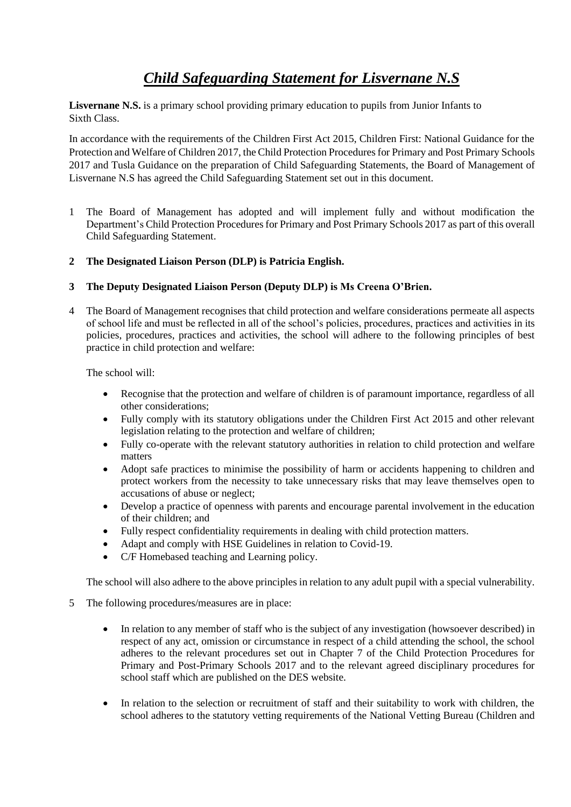# *Child Safeguarding Statement for Lisvernane N.S*

**Lisvernane N.S.** is a primary school providing primary education to pupils from Junior Infants to Sixth Class.

In accordance with the requirements of the Children First Act 2015, Children First: National Guidance for the Protection and Welfare of Children 2017, the Child Protection Procedures for Primary and Post Primary Schools 2017 and Tusla Guidance on the preparation of Child Safeguarding Statements, the Board of Management of Lisvernane N.S has agreed the Child Safeguarding Statement set out in this document.

- 1 The Board of Management has adopted and will implement fully and without modification the Department's Child Protection Procedures for Primary and Post Primary Schools 2017 as part of this overall Child Safeguarding Statement.
- **2 The Designated Liaison Person (DLP) is Patricia English.**
- **3 The Deputy Designated Liaison Person (Deputy DLP) is Ms Creena O'Brien.**
- 4 The Board of Management recognises that child protection and welfare considerations permeate all aspects of school life and must be reflected in all of the school's policies, procedures, practices and activities in its policies, procedures, practices and activities, the school will adhere to the following principles of best practice in child protection and welfare:

The school will:

- Recognise that the protection and welfare of children is of paramount importance, regardless of all other considerations;
- Fully comply with its statutory obligations under the Children First Act 2015 and other relevant legislation relating to the protection and welfare of children;
- Fully co-operate with the relevant statutory authorities in relation to child protection and welfare matters
- Adopt safe practices to minimise the possibility of harm or accidents happening to children and protect workers from the necessity to take unnecessary risks that may leave themselves open to accusations of abuse or neglect;
- Develop a practice of openness with parents and encourage parental involvement in the education of their children; and
- Fully respect confidentiality requirements in dealing with child protection matters.
- Adapt and comply with HSE Guidelines in relation to Covid-19.
- C/F Homebased teaching and Learning policy.

The school will also adhere to the above principles in relation to any adult pupil with a special vulnerability.

- 5 The following procedures/measures are in place:
	- In relation to any member of staff who is the subject of any investigation (howsoever described) in respect of any act, omission or circumstance in respect of a child attending the school, the school adheres to the relevant procedures set out in Chapter 7 of the Child Protection Procedures for Primary and Post-Primary Schools 2017 and to the relevant agreed disciplinary procedures for school staff which are published on the DES website.
	- In relation to the selection or recruitment of staff and their suitability to work with children, the school adheres to the statutory vetting requirements of the National Vetting Bureau (Children and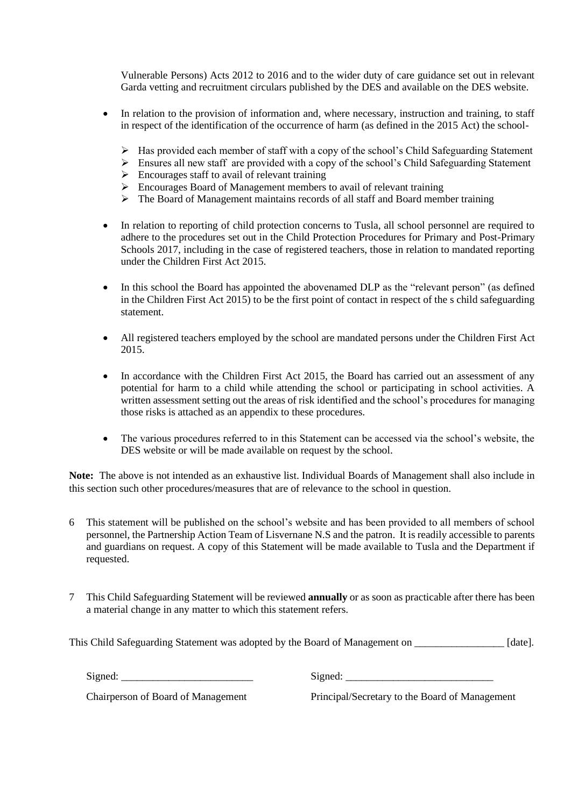Vulnerable Persons) Acts 2012 to 2016 and to the wider duty of care guidance set out in relevant Garda vetting and recruitment circulars published by the DES and available on the DES website.

- In relation to the provision of information and, where necessary, instruction and training, to staff in respect of the identification of the occurrence of harm (as defined in the 2015 Act) the school-
	- $\triangleright$  Has provided each member of staff with a copy of the school's Child Safeguarding Statement
	- $\triangleright$  Ensures all new staff are provided with a copy of the school's Child Safeguarding Statement
	- $\triangleright$  Encourages staff to avail of relevant training
	- ➢ Encourages Board of Management members to avail of relevant training
	- $\triangleright$  The Board of Management maintains records of all staff and Board member training
- In relation to reporting of child protection concerns to Tusla, all school personnel are required to adhere to the procedures set out in the Child Protection Procedures for Primary and Post-Primary Schools 2017, including in the case of registered teachers, those in relation to mandated reporting under the Children First Act 2015.
- In this school the Board has appointed the abovenamed DLP as the "relevant person" (as defined in the Children First Act 2015) to be the first point of contact in respect of the s child safeguarding statement.
- All registered teachers employed by the school are mandated persons under the Children First Act 2015.
- In accordance with the Children First Act 2015, the Board has carried out an assessment of any potential for harm to a child while attending the school or participating in school activities. A written assessment setting out the areas of risk identified and the school's procedures for managing those risks is attached as an appendix to these procedures.
- The various procedures referred to in this Statement can be accessed via the school's website, the DES website or will be made available on request by the school.

**Note:** The above is not intended as an exhaustive list. Individual Boards of Management shall also include in this section such other procedures/measures that are of relevance to the school in question.

- 6 This statement will be published on the school's website and has been provided to all members of school personnel, the Partnership Action Team of Lisvernane N.S and the patron. It is readily accessible to parents and guardians on request. A copy of this Statement will be made available to Tusla and the Department if requested.
- 7 This Child Safeguarding Statement will be reviewed **annually** or as soon as practicable after there has been a material change in any matter to which this statement refers.

This Child Safeguarding Statement was adopted by the Board of Management on \_\_\_\_\_\_\_\_\_\_\_\_\_\_\_\_\_ [date].

Signed: \_\_\_\_\_\_\_\_\_\_\_\_\_\_\_\_\_\_\_\_\_\_\_\_\_ Signed: \_\_\_\_\_\_\_\_\_\_\_\_\_\_\_\_\_\_\_\_\_\_\_\_\_\_\_\_

Chairperson of Board of Management Principal/Secretary to the Board of Management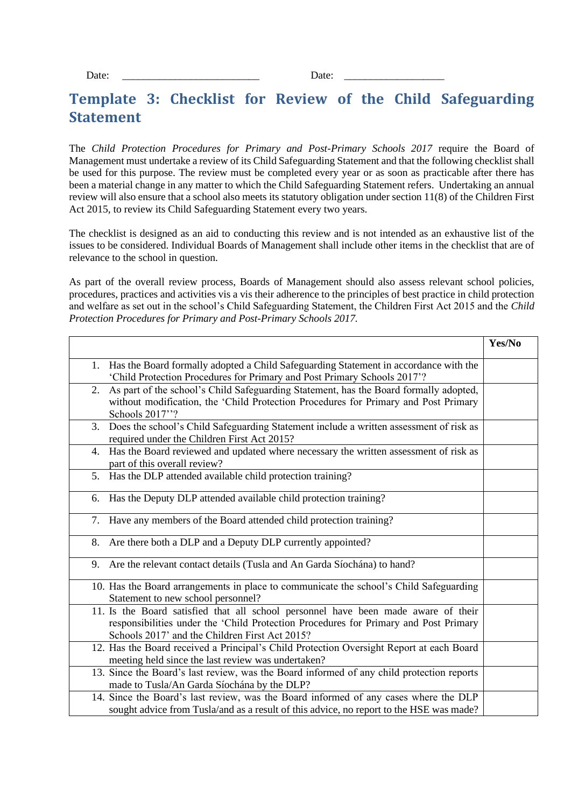### **Template 3: Checklist for Review of the Child Safeguarding Statement**

The *Child Protection Procedures for Primary and Post-Primary Schools 2017* require the Board of Management must undertake a review of its Child Safeguarding Statement and that the following checklist shall be used for this purpose. The review must be completed every year or as soon as practicable after there has been a material change in any matter to which the Child Safeguarding Statement refers. Undertaking an annual review will also ensure that a school also meets its statutory obligation under section 11(8) of the Children First Act 2015, to review its Child Safeguarding Statement every two years.

The checklist is designed as an aid to conducting this review and is not intended as an exhaustive list of the issues to be considered. Individual Boards of Management shall include other items in the checklist that are of relevance to the school in question.

As part of the overall review process, Boards of Management should also assess relevant school policies, procedures, practices and activities vis a vis their adherence to the principles of best practice in child protection and welfare as set out in the school's Child Safeguarding Statement, the Children First Act 2015 and the *Child Protection Procedures for Primary and Post-Primary Schools 2017.*

|                                                                                                                                                                                                                              | Yes/No |
|------------------------------------------------------------------------------------------------------------------------------------------------------------------------------------------------------------------------------|--------|
| 1. Has the Board formally adopted a Child Safeguarding Statement in accordance with the<br>'Child Protection Procedures for Primary and Post Primary Schools 2017'?                                                          |        |
| As part of the school's Child Safeguarding Statement, has the Board formally adopted,<br>2.<br>without modification, the 'Child Protection Procedures for Primary and Post Primary<br>Schools 2017"?                         |        |
| 3. Does the school's Child Safeguarding Statement include a written assessment of risk as<br>required under the Children First Act 2015?                                                                                     |        |
| 4. Has the Board reviewed and updated where necessary the written assessment of risk as<br>part of this overall review?                                                                                                      |        |
| 5. Has the DLP attended available child protection training?                                                                                                                                                                 |        |
| Has the Deputy DLP attended available child protection training?<br>6.                                                                                                                                                       |        |
| 7. Have any members of the Board attended child protection training?                                                                                                                                                         |        |
| 8. Are there both a DLP and a Deputy DLP currently appointed?                                                                                                                                                                |        |
| Are the relevant contact details (Tusla and An Garda Síochána) to hand?<br>9.                                                                                                                                                |        |
| 10. Has the Board arrangements in place to communicate the school's Child Safeguarding<br>Statement to new school personnel?                                                                                                 |        |
| 11. Is the Board satisfied that all school personnel have been made aware of their<br>responsibilities under the 'Child Protection Procedures for Primary and Post Primary<br>Schools 2017' and the Children First Act 2015? |        |
| 12. Has the Board received a Principal's Child Protection Oversight Report at each Board<br>meeting held since the last review was undertaken?                                                                               |        |
| 13. Since the Board's last review, was the Board informed of any child protection reports<br>made to Tusla/An Garda Síochána by the DLP?                                                                                     |        |
| 14. Since the Board's last review, was the Board informed of any cases where the DLP<br>sought advice from Tusla/and as a result of this advice, no report to the HSE was made?                                              |        |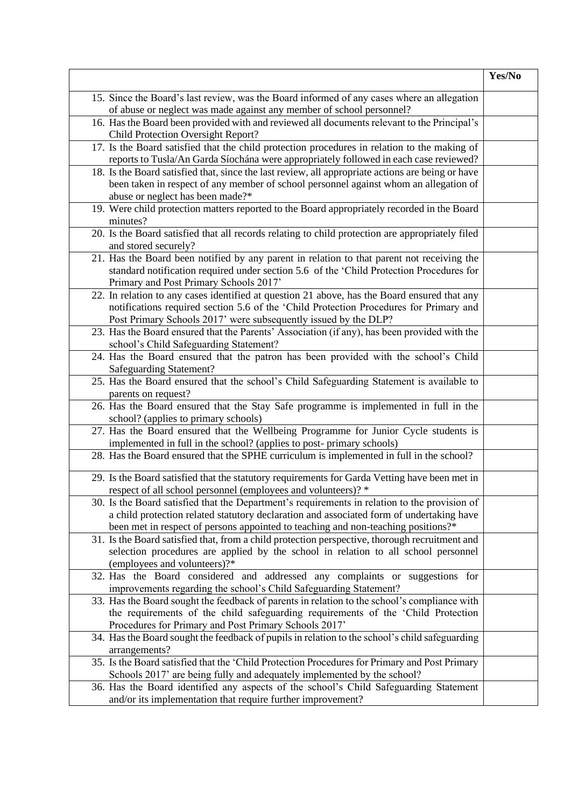|                                                                                                                             | Yes/No |
|-----------------------------------------------------------------------------------------------------------------------------|--------|
| 15. Since the Board's last review, was the Board informed of any cases where an allegation                                  |        |
| of abuse or neglect was made against any member of school personnel?                                                        |        |
| 16. Has the Board been provided with and reviewed all documents relevant to the Principal's                                 |        |
| Child Protection Oversight Report?                                                                                          |        |
| 17. Is the Board satisfied that the child protection procedures in relation to the making of                                |        |
| reports to Tusla/An Garda Síochána were appropriately followed in each case reviewed?                                       |        |
| 18. Is the Board satisfied that, since the last review, all appropriate actions are being or have                           |        |
| been taken in respect of any member of school personnel against whom an allegation of                                       |        |
| abuse or neglect has been made?*                                                                                            |        |
| 19. Were child protection matters reported to the Board appropriately recorded in the Board                                 |        |
| minutes?                                                                                                                    |        |
| 20. Is the Board satisfied that all records relating to child protection are appropriately filed                            |        |
| and stored securely?                                                                                                        |        |
| 21. Has the Board been notified by any parent in relation to that parent not receiving the                                  |        |
| standard notification required under section 5.6 of the 'Child Protection Procedures for                                    |        |
| Primary and Post Primary Schools 2017'                                                                                      |        |
| 22. In relation to any cases identified at question 21 above, has the Board ensured that any                                |        |
| notifications required section 5.6 of the 'Child Protection Procedures for Primary and                                      |        |
| Post Primary Schools 2017' were subsequently issued by the DLP?                                                             |        |
| 23. Has the Board ensured that the Parents' Association (if any), has been provided with the                                |        |
| school's Child Safeguarding Statement?                                                                                      |        |
| 24. Has the Board ensured that the patron has been provided with the school's Child                                         |        |
| <b>Safeguarding Statement?</b>                                                                                              |        |
| 25. Has the Board ensured that the school's Child Safeguarding Statement is available to                                    |        |
| parents on request?                                                                                                         |        |
| 26. Has the Board ensured that the Stay Safe programme is implemented in full in the                                        |        |
| school? (applies to primary schools)<br>27. Has the Board ensured that the Wellbeing Programme for Junior Cycle students is |        |
| implemented in full in the school? (applies to post-primary schools)                                                        |        |
| 28. Has the Board ensured that the SPHE curriculum is implemented in full in the school?                                    |        |
|                                                                                                                             |        |
| 29. Is the Board satisfied that the statutory requirements for Garda Vetting have been met in                               |        |
| respect of all school personnel (employees and volunteers)? *                                                               |        |
| 30. Is the Board satisfied that the Department's requirements in relation to the provision of                               |        |
| a child protection related statutory declaration and associated form of undertaking have                                    |        |
| been met in respect of persons appointed to teaching and non-teaching positions?*                                           |        |
| 31. Is the Board satisfied that, from a child protection perspective, thorough recruitment and                              |        |
| selection procedures are applied by the school in relation to all school personnel                                          |        |
| (employees and volunteers)?*                                                                                                |        |
| 32. Has the Board considered and addressed any complaints or suggestions for                                                |        |
| improvements regarding the school's Child Safeguarding Statement?                                                           |        |
| 33. Has the Board sought the feedback of parents in relation to the school's compliance with                                |        |
| the requirements of the child safeguarding requirements of the 'Child Protection                                            |        |
| Procedures for Primary and Post Primary Schools 2017'                                                                       |        |
| 34. Has the Board sought the feedback of pupils in relation to the school's child safeguarding                              |        |
| arrangements?                                                                                                               |        |
| 35. Is the Board satisfied that the 'Child Protection Procedures for Primary and Post Primary                               |        |
| Schools 2017' are being fully and adequately implemented by the school?                                                     |        |
| 36. Has the Board identified any aspects of the school's Child Safeguarding Statement                                       |        |
| and/or its implementation that require further improvement?                                                                 |        |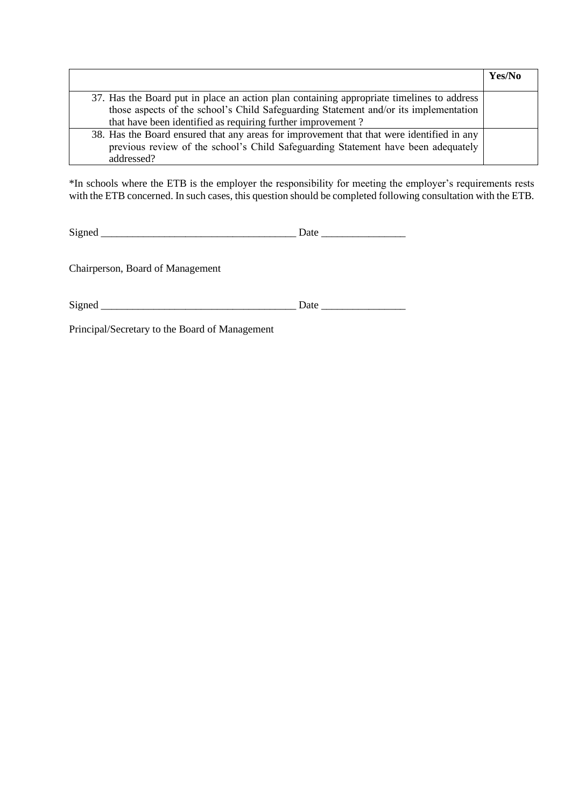|                                                                                           | Yes/No |
|-------------------------------------------------------------------------------------------|--------|
|                                                                                           |        |
| 37. Has the Board put in place an action plan containing appropriate timelines to address |        |
| those aspects of the school's Child Safeguarding Statement and/or its implementation      |        |
| that have been identified as requiring further improvement?                               |        |
| 38. Has the Board ensured that any areas for improvement that that were identified in any |        |
| previous review of the school's Child Safeguarding Statement have been adequately         |        |
| addressed?                                                                                |        |

\*In schools where the ETB is the employer the responsibility for meeting the employer's requirements rests with the ETB concerned. In such cases, this question should be completed following consultation with the ETB.

Chairperson, Board of Management

Signed \_\_\_\_\_\_\_\_\_\_\_\_\_\_\_\_\_\_\_\_\_\_\_\_\_\_\_\_\_\_\_\_\_\_\_\_\_ Date \_\_\_\_\_\_\_\_\_\_\_\_\_\_\_\_

Principal/Secretary to the Board of Management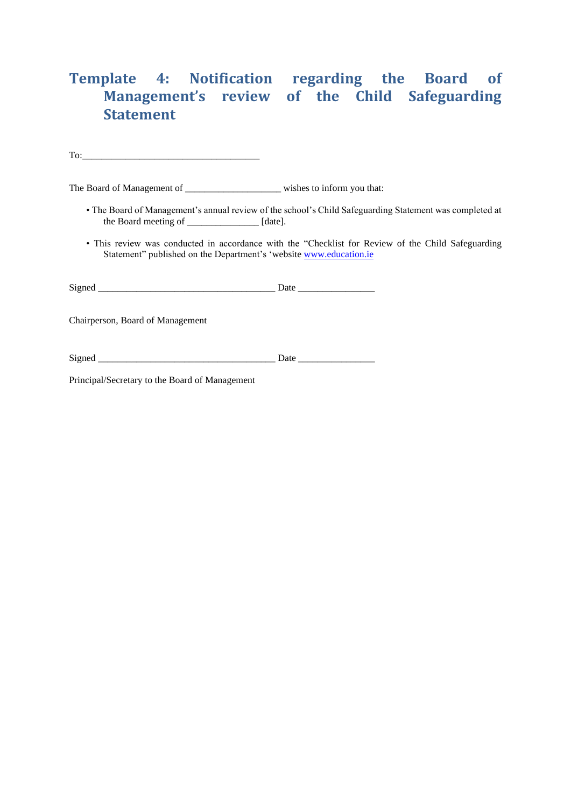## **Template 4: Notification regarding the Board of Management's review of the Child Safeguarding Statement**

To:

The Board of Management of \_\_\_\_\_\_\_\_\_\_\_\_\_\_\_\_\_\_\_\_\_\_\_\_\_ wishes to inform you that:

- The Board of Management's annual review of the school's Child Safeguarding Statement was completed at the Board meeting of \_\_\_\_\_\_\_\_\_\_\_\_\_\_\_ [date].
- This review was conducted in accordance with the "Checklist for Review of the Child Safeguarding Statement" published on the Department's 'website [www.education.ie](http://www.education.ie/)

Chairperson, Board of Management

| $\sim$<br>515<br>neo |  |  |
|----------------------|--|--|
|                      |  |  |

Principal/Secretary to the Board of Management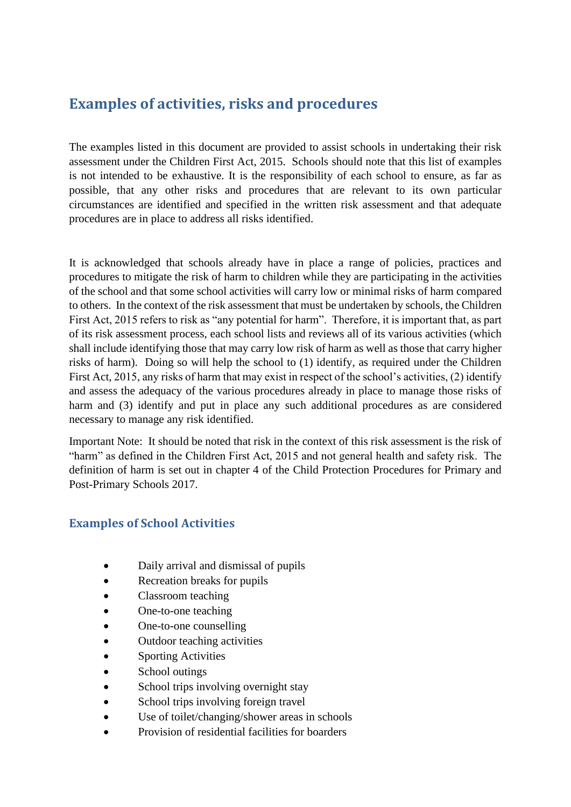### **Examples of activities, risks and procedures**

The examples listed in this document are provided to assist schools in undertaking their risk assessment under the Children First Act, 2015. Schools should note that this list of examples is not intended to be exhaustive. It is the responsibility of each school to ensure, as far as possible, that any other risks and procedures that are relevant to its own particular circumstances are identified and specified in the written risk assessment and that adequate procedures are in place to address all risks identified.

It is acknowledged that schools already have in place a range of policies, practices and procedures to mitigate the risk of harm to children while they are participating in the activities of the school and that some school activities will carry low or minimal risks of harm compared to others. In the context of the risk assessment that must be undertaken by schools, the Children First Act, 2015 refers to risk as "any potential for harm". Therefore, it is important that, as part of its risk assessment process, each school lists and reviews all of its various activities (which shall include identifying those that may carry low risk of harm as well as those that carry higher risks of harm). Doing so will help the school to (1) identify, as required under the Children First Act, 2015, any risks of harm that may exist in respect of the school's activities, (2) identify and assess the adequacy of the various procedures already in place to manage those risks of harm and (3) identify and put in place any such additional procedures as are considered necessary to manage any risk identified.

Important Note: It should be noted that risk in the context of this risk assessment is the risk of "harm" as defined in the Children First Act, 2015 and not general health and safety risk. The definition of harm is set out in chapter 4 of the Child Protection Procedures for Primary and Post-Primary Schools 2017.

#### **Examples of School Activities**

- Daily arrival and dismissal of pupils
- Recreation breaks for pupils
- Classroom teaching
- One-to-one teaching
- One-to-one counselling
- Outdoor teaching activities
- **Sporting Activities**
- School outings
- School trips involving overnight stay
- School trips involving foreign travel
- Use of toilet/changing/shower areas in schools
- Provision of residential facilities for boarders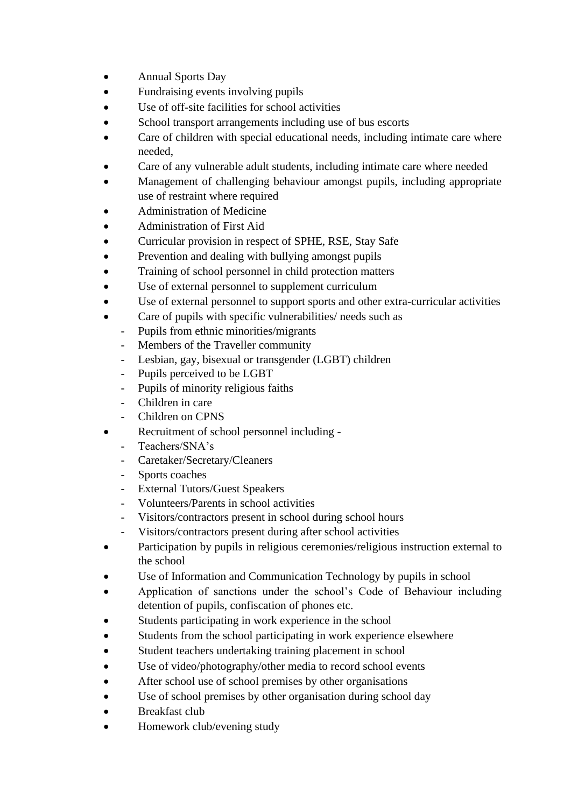- **Annual Sports Day**
- Fundraising events involving pupils
- Use of off-site facilities for school activities
- School transport arrangements including use of bus escorts
- Care of children with special educational needs, including intimate care where needed,
- Care of any vulnerable adult students, including intimate care where needed
- Management of challenging behaviour amongst pupils, including appropriate use of restraint where required
- Administration of Medicine
- Administration of First Aid
- Curricular provision in respect of SPHE, RSE, Stay Safe
- Prevention and dealing with bullying amongst pupils
- Training of school personnel in child protection matters
- Use of external personnel to supplement curriculum
- Use of external personnel to support sports and other extra-curricular activities
- Care of pupils with specific vulnerabilities/ needs such as
	- Pupils from ethnic minorities/migrants
	- Members of the Traveller community
	- Lesbian, gay, bisexual or transgender (LGBT) children
	- Pupils perceived to be LGBT
	- Pupils of minority religious faiths
	- Children in care
	- Children on CPNS
- Recruitment of school personnel including
	- Teachers/SNA's
	- Caretaker/Secretary/Cleaners
	- Sports coaches
	- External Tutors/Guest Speakers
	- Volunteers/Parents in school activities
	- Visitors/contractors present in school during school hours
	- Visitors/contractors present during after school activities
- Participation by pupils in religious ceremonies/religious instruction external to the school
- Use of Information and Communication Technology by pupils in school
- Application of sanctions under the school's Code of Behaviour including detention of pupils, confiscation of phones etc.
- Students participating in work experience in the school
- Students from the school participating in work experience elsewhere
- Student teachers undertaking training placement in school
- Use of video/photography/other media to record school events
- After school use of school premises by other organisations
- Use of school premises by other organisation during school day
- Breakfast club
- Homework club/evening study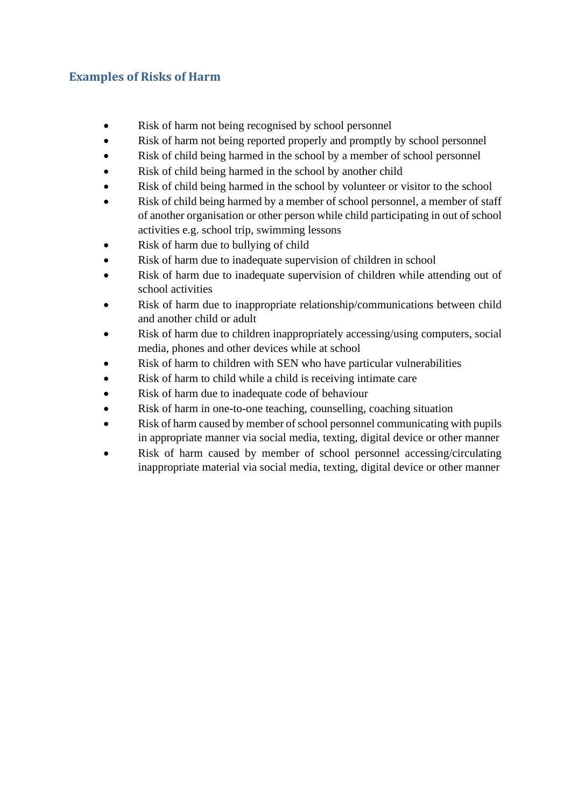#### **Examples of Risks of Harm**

- Risk of harm not being recognised by school personnel
- Risk of harm not being reported properly and promptly by school personnel
- Risk of child being harmed in the school by a member of school personnel
- Risk of child being harmed in the school by another child
- Risk of child being harmed in the school by volunteer or visitor to the school
- Risk of child being harmed by a member of school personnel, a member of staff of another organisation or other person while child participating in out of school activities e.g. school trip, swimming lessons
- Risk of harm due to bullying of child
- Risk of harm due to inadequate supervision of children in school
- Risk of harm due to inadequate supervision of children while attending out of school activities
- Risk of harm due to inappropriate relationship/communications between child and another child or adult
- Risk of harm due to children inappropriately accessing/using computers, social media, phones and other devices while at school
- Risk of harm to children with SEN who have particular vulnerabilities
- Risk of harm to child while a child is receiving intimate care
- Risk of harm due to inadequate code of behaviour
- Risk of harm in one-to-one teaching, counselling, coaching situation
- Risk of harm caused by member of school personnel communicating with pupils in appropriate manner via social media, texting, digital device or other manner
- Risk of harm caused by member of school personnel accessing/circulating inappropriate material via social media, texting, digital device or other manner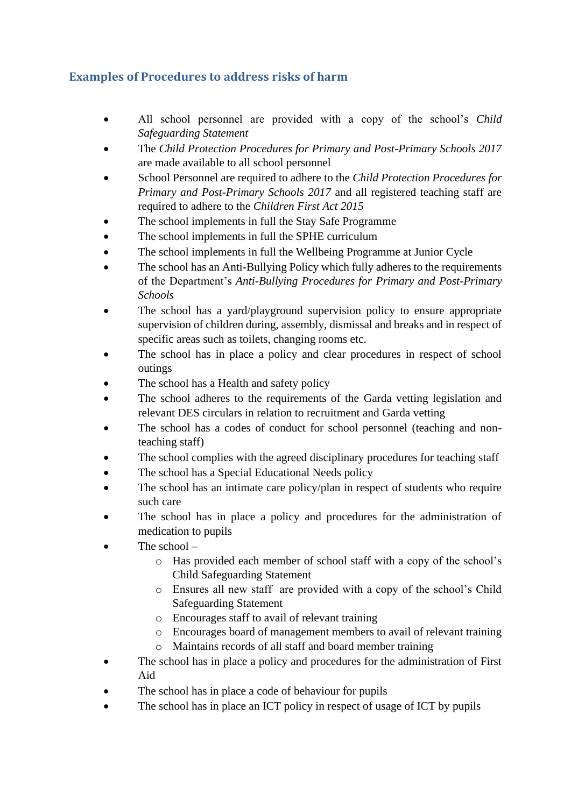#### **Examples of Procedures to address risks of harm**

- All school personnel are provided with a copy of the school's *Child Safeguarding Statement*
- The *Child Protection Procedures for Primary and Post-Primary Schools 2017* are made available to all school personnel
- School Personnel are required to adhere to the *Child Protection Procedures for Primary and Post-Primary Schools 2017* and all registered teaching staff are required to adhere to the *Children First Act 2015*
- The school implements in full the Stay Safe Programme
- The school implements in full the SPHE curriculum
- The school implements in full the Wellbeing Programme at Junior Cycle
- The school has an Anti-Bullying Policy which fully adheres to the requirements of the Department's *Anti-Bullying Procedures for Primary and Post-Primary Schools*
- The school has a yard/playground supervision policy to ensure appropriate supervision of children during, assembly, dismissal and breaks and in respect of specific areas such as toilets, changing rooms etc.
- The school has in place a policy and clear procedures in respect of school outings
- The school has a Health and safety policy
- The school adheres to the requirements of the Garda vetting legislation and relevant DES circulars in relation to recruitment and Garda vetting
- The school has a codes of conduct for school personnel (teaching and nonteaching staff)
- The school complies with the agreed disciplinary procedures for teaching staff
- The school has a Special Educational Needs policy
- The school has an intimate care policy/plan in respect of students who require such care
- The school has in place a policy and procedures for the administration of medication to pupils
- The school  $$ 
	- o Has provided each member of school staff with a copy of the school's Child Safeguarding Statement
	- o Ensures all new staff are provided with a copy of the school's Child Safeguarding Statement
	- o Encourages staff to avail of relevant training
	- o Encourages board of management members to avail of relevant training
	- o Maintains records of all staff and board member training
- The school has in place a policy and procedures for the administration of First Aid
- The school has in place a code of behaviour for pupils
- The school has in place an ICT policy in respect of usage of ICT by pupils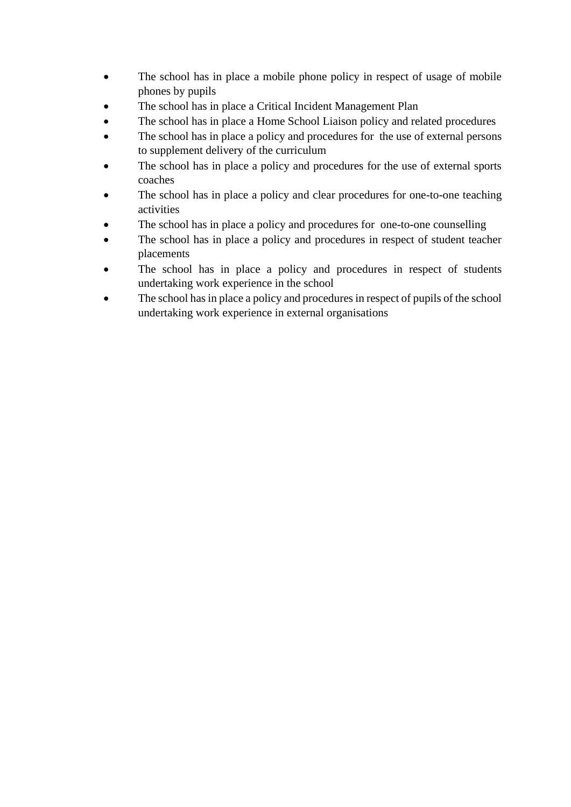- The school has in place a mobile phone policy in respect of usage of mobile phones by pupils
- The school has in place a Critical Incident Management Plan
- The school has in place a Home School Liaison policy and related procedures
- The school has in place a policy and procedures for the use of external persons to supplement delivery of the curriculum
- The school has in place a policy and procedures for the use of external sports coaches
- The school has in place a policy and clear procedures for one-to-one teaching activities
- The school has in place a policy and procedures for one-to-one counselling
- The school has in place a policy and procedures in respect of student teacher placements
- The school has in place a policy and procedures in respect of students undertaking work experience in the school
- The school has in place a policy and procedures in respect of pupils of the school undertaking work experience in external organisations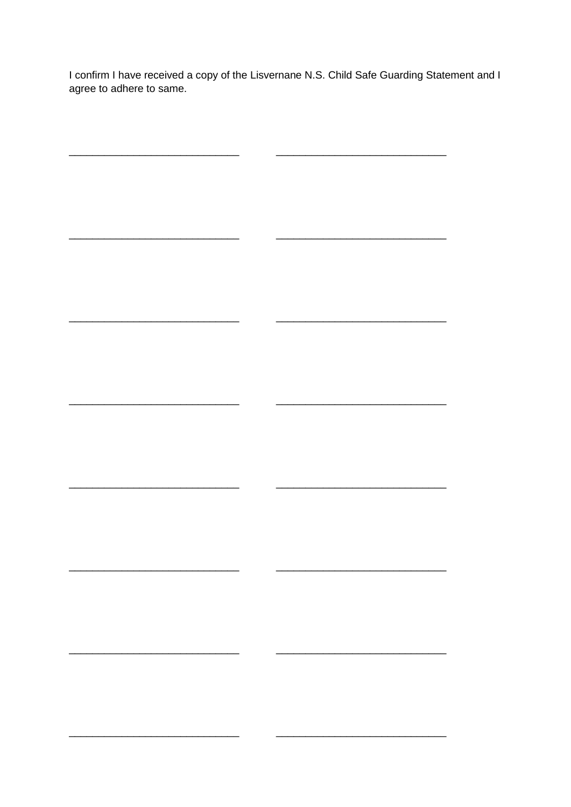I confirm I have received a copy of the Lisvernane N.S. Child Safe Guarding Statement and I agree to adhere to same.

 $\overline{\phantom{0}}$ 

 $\overline{\phantom{a}}$ 

 $\overline{\phantom{a}}$ 

 $\sim$